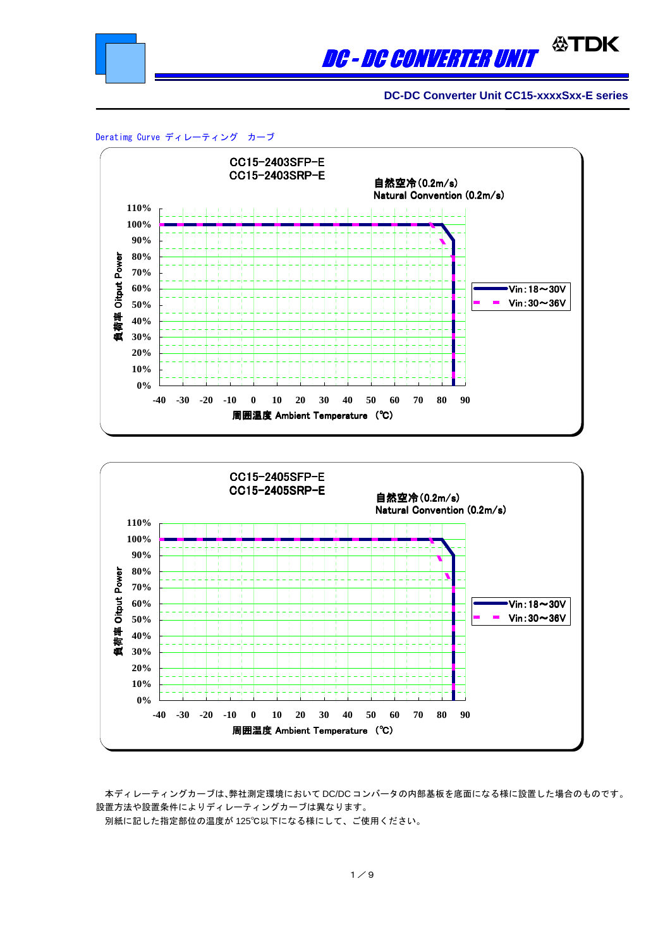

# **公TDK** DC - DC CONVERTER UNIT

 **DC-DC Converter Unit CC15-xxxxSxx-E series**

Deratimg Curve ディレーティング カーブ





本ディレーティングカーブは、弊社測定環境において DC/DC コンバータの内部基板を底面になる様に設置した場合のものです。 設置方法や設置条件によりディレーティングカーブは異なります。

別紙に記した指定部位の温度が 125℃以下になる様にして、ご使用ください。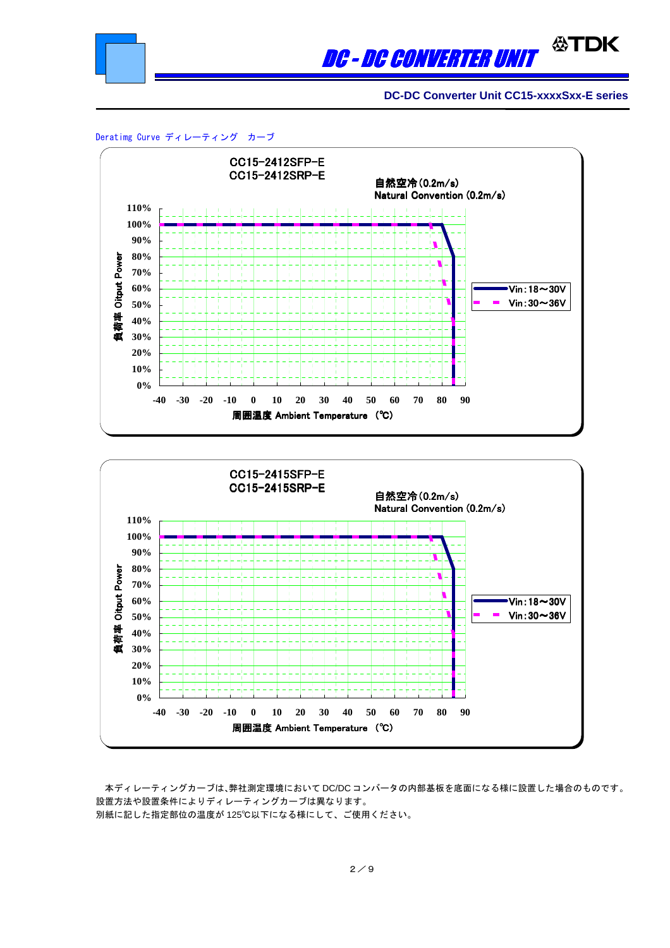

# **公TDK** DC - DC CONVERTER UNIT

**DC-DC Converter Unit CC15-xxxxSxx-E series**







本ディレーティングカーブは、弊社測定環境において DC/DC コンバータの内部基板を底面になる様に設置した場合のものです。 設置方法や設置条件によりディレーティングカーブは異なります。 別紙に記した指定部位の温度が 125℃以下になる様にして、ご使用ください。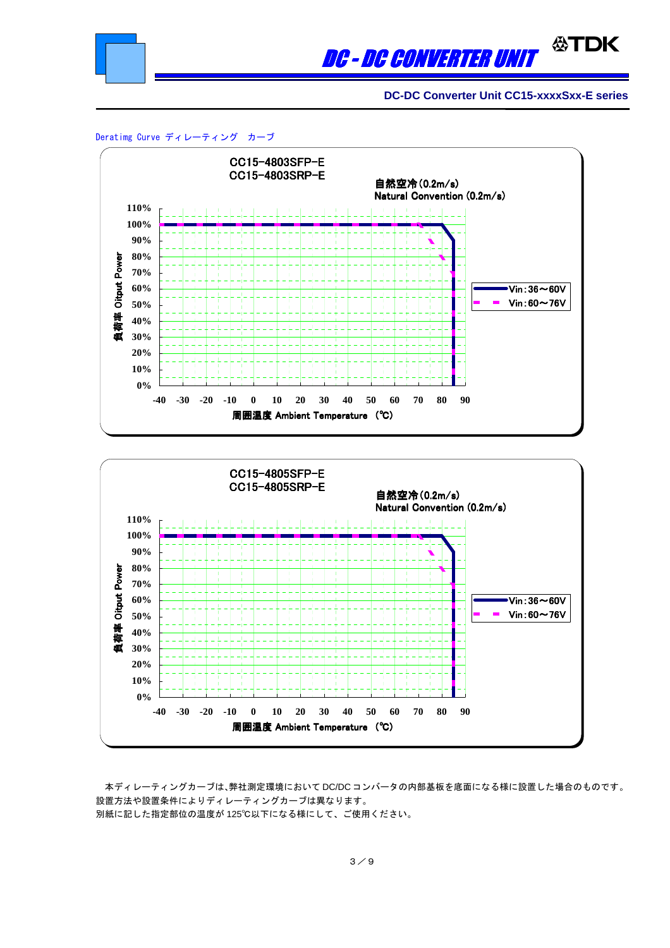

## **公TDK** DC - DC CONVERTER UNIT

**DC-DC Converter Unit CC15-xxxxSxx-E series**





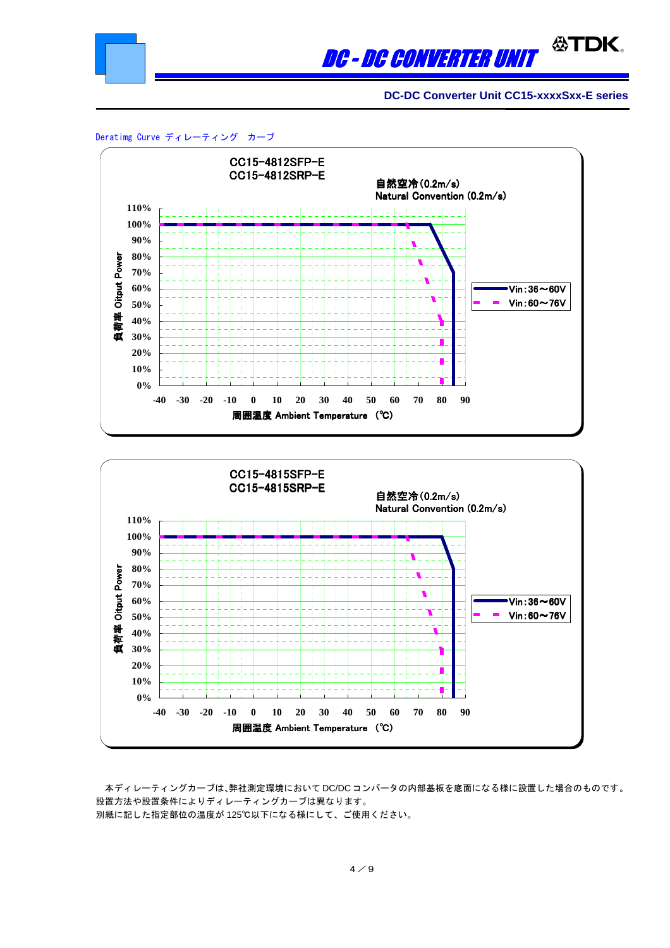

### DC - DC CONVERTER UNIT

**DC-DC Converter Unit CC15-xxxxSxx-E series**

Deratimg Curve ディレーティング カーブ





本ディレーティングカーブは、弊社測定環境において DC/DC コンバータの内部基板を底面になる様に設置した場合のものです。 設置方法や設置条件によりディレーティングカーブは異なります。 別紙に記した指定部位の温度が 125℃以下になる様にして、ご使用ください。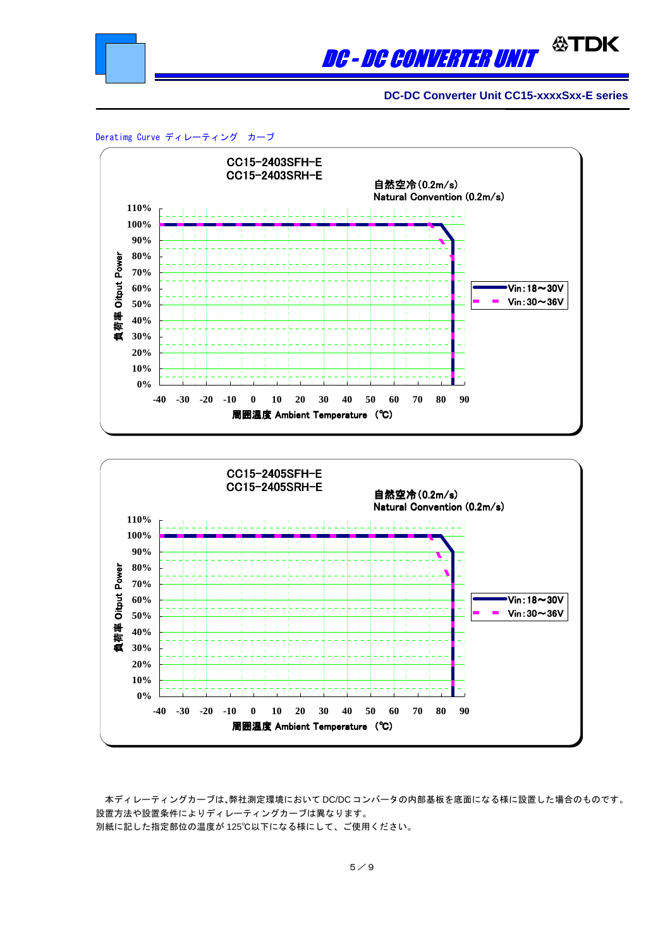

#### ∰TDK DC - DC CONVERTER UNIT

**DC-DC Converter Unit CC15-xxxxSxx-E series**





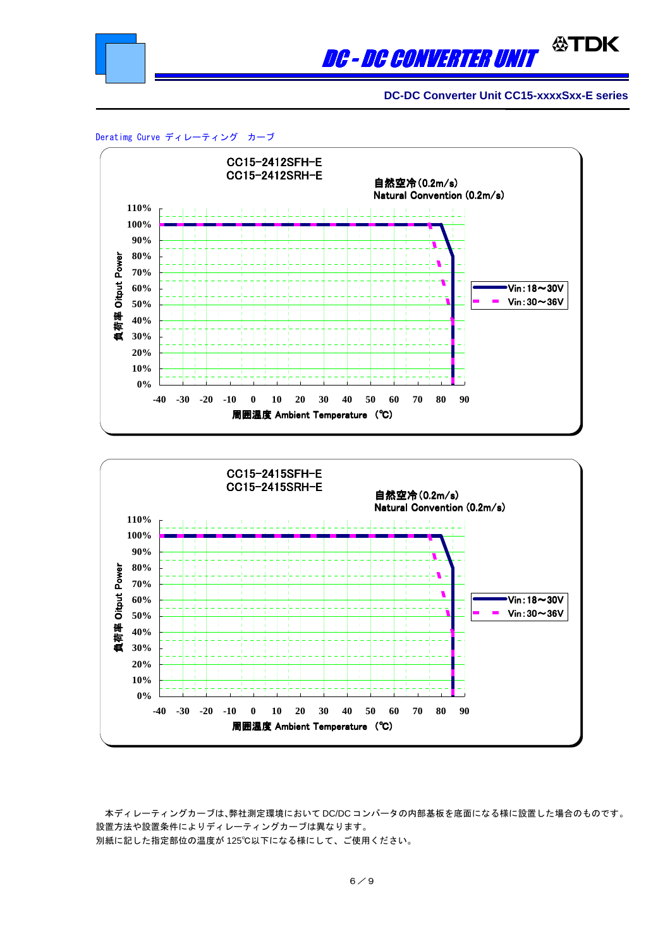

#### ∰TDK DC - DC CONVERTER UNI

**DC-DC Converter Unit CC15-xxxxSxx-E series**





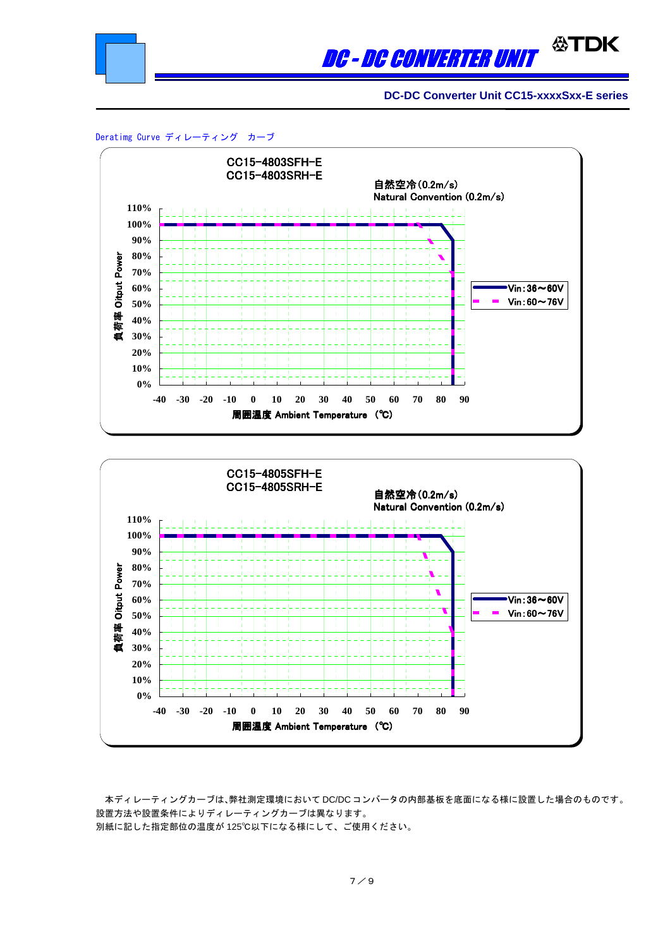

#### **ATDK** DC - DC CONVERTER UNI

**DC-DC Converter Unit CC15-xxxxSxx-E series**





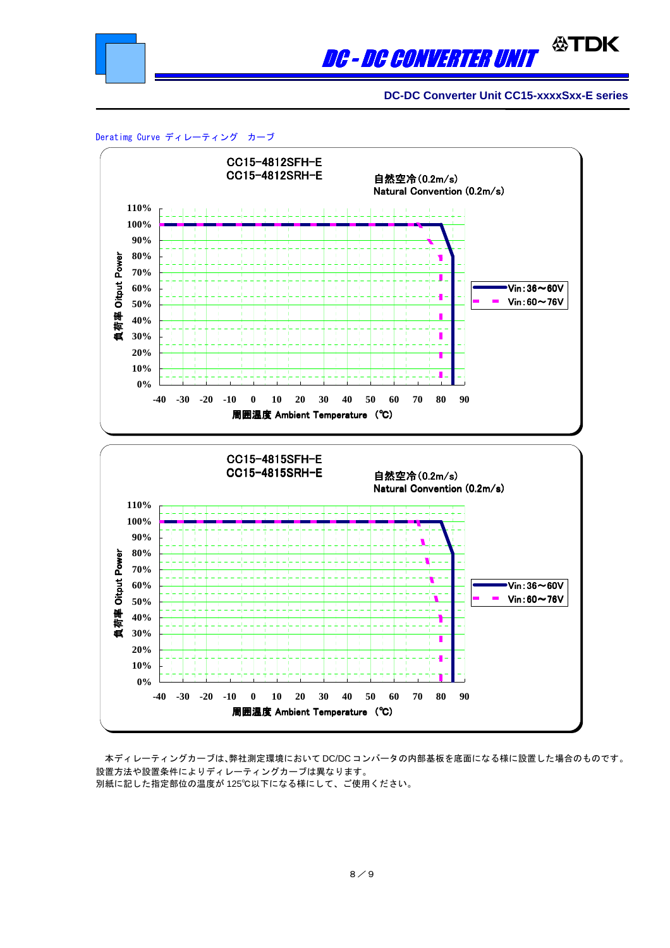

## **公TDK** DC - DC CONVERTER UNI

**DC-DC Converter Unit CC15-xxxxSxx-E series**